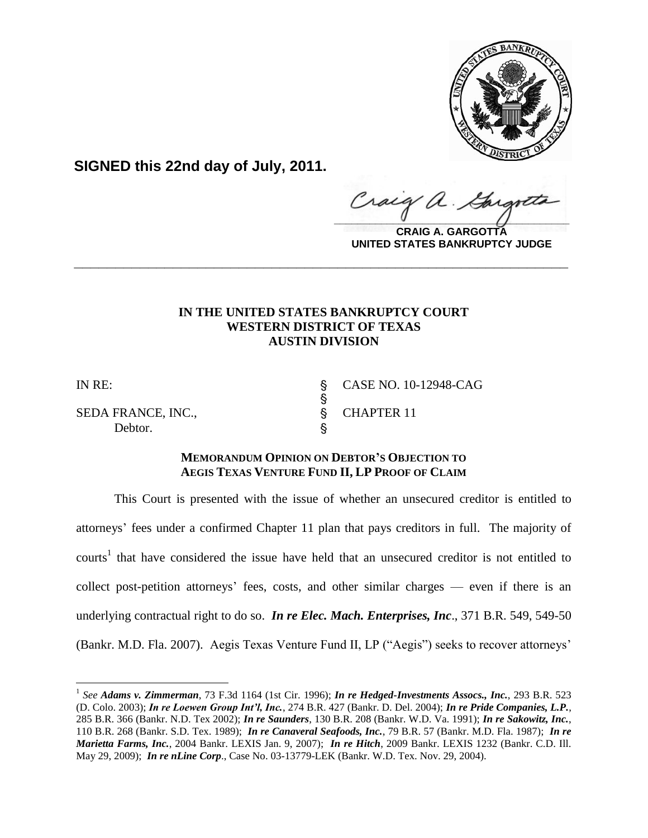

**SIGNED this 22nd day of July, 2011.**

Craig a.  $\frac{1}{2}$ 

**CRAIG A. GARGOTTA UNITED STATES BANKRUPTCY JUDGE**

# **IN THE UNITED STATES BANKRUPTCY COURT WESTERN DISTRICT OF TEXAS AUSTIN DIVISION**

**\_\_\_\_\_\_\_\_\_\_\_\_\_\_\_\_\_\_\_\_\_\_\_\_\_\_\_\_\_\_\_\_\_\_\_\_\_\_\_\_\_\_\_\_\_\_\_\_\_\_\_\_\_\_\_\_\_\_\_\_**

 $\S$ 

 $\overline{a}$ 

SEDA FRANCE, INC., SEDA FRANCE, INC., Debtor.

IN RE: ' CASE NO. 10-12948-CAG

## **MEMORANDUM OPINION ON DEBTOR'S OBJECTION TO AEGIS TEXAS VENTURE FUND II, LP PROOF OF CLAIM**

This Court is presented with the issue of whether an unsecured creditor is entitled to attorneys" fees under a confirmed Chapter 11 plan that pays creditors in full. The majority of courts<sup>1</sup> that have considered the issue have held that an unsecured creditor is not entitled to collect post-petition attorneys" fees, costs, and other similar charges — even if there is an underlying contractual right to do so. *In re Elec. Mach. Enterprises, Inc*., 371 B.R. 549, 549-50 (Bankr. M.D. Fla. 2007). Aegis Texas Venture Fund II, LP ("Aegis") seeks to recover attorneys"

<sup>1</sup> *See Adams v. Zimmerman*, 73 F.3d 1164 (1st Cir. 1996); *In re Hedged-Investments Assocs., Inc.*, 293 B.R. 523 (D. Colo. 2003); *In re Loewen Group Int'l, Inc.*, 274 B.R. 427 (Bankr. D. Del. 2004); *In re Pride Companies, L.P.*, 285 B.R. 366 (Bankr. N.D. Tex 2002); *In re Saunders*, 130 B.R. 208 (Bankr. W.D. Va. 1991); *In re Sakowitz, Inc.*, 110 B.R. 268 (Bankr. S.D. Tex. 1989); *In re Canaveral Seafoods, Inc.*, 79 B.R. 57 (Bankr. M.D. Fla. 1987); *In re Marietta Farms, Inc.*, 2004 Bankr. LEXIS Jan. 9, 2007); *In re Hitch*, 2009 Bankr. LEXIS 1232 (Bankr. C.D. Ill. May 29, 2009); *In re nLine Corp*., Case No. 03-13779-LEK (Bankr. W.D. Tex. Nov. 29, 2004).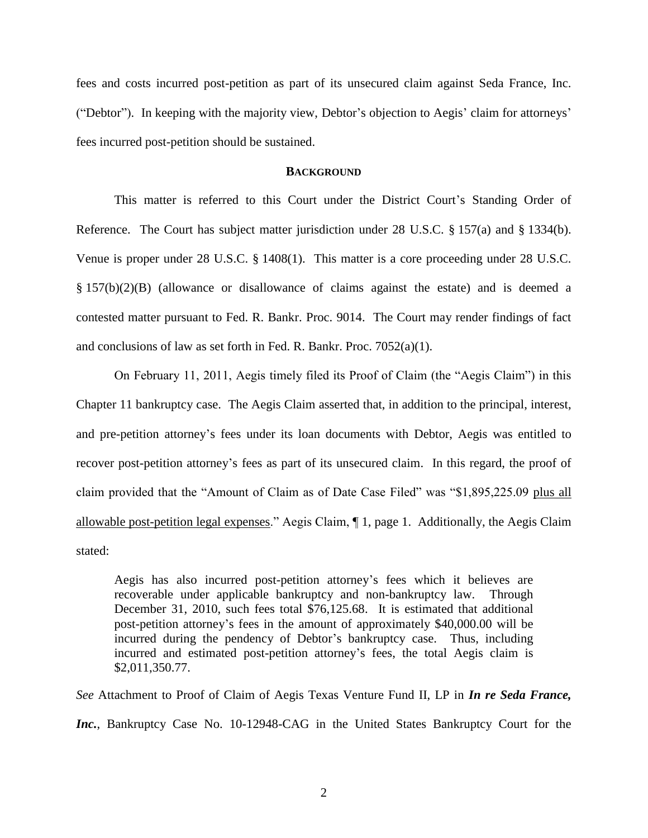fees and costs incurred post-petition as part of its unsecured claim against Seda France, Inc. ("Debtor"). In keeping with the majority view, Debtor's objection to Aegis' claim for attorneys' fees incurred post-petition should be sustained.

## **BACKGROUND**

This matter is referred to this Court under the District Court"s Standing Order of Reference. The Court has subject matter jurisdiction under 28 U.S.C. § 157(a) and § 1334(b). Venue is proper under 28 U.S.C. § 1408(1). This matter is a core proceeding under 28 U.S.C. § 157(b)(2)(B) (allowance or disallowance of claims against the estate) and is deemed a contested matter pursuant to Fed. R. Bankr. Proc. 9014. The Court may render findings of fact and conclusions of law as set forth in Fed. R. Bankr. Proc. 7052(a)(1).

On February 11, 2011, Aegis timely filed its Proof of Claim (the "Aegis Claim") in this Chapter 11 bankruptcy case. The Aegis Claim asserted that, in addition to the principal, interest, and pre-petition attorney"s fees under its loan documents with Debtor, Aegis was entitled to recover post-petition attorney's fees as part of its unsecured claim. In this regard, the proof of claim provided that the "Amount of Claim as of Date Case Filed" was "\$1,895,225.09 plus all allowable post-petition legal expenses." Aegis Claim, ¶ 1, page 1. Additionally, the Aegis Claim stated:

Aegis has also incurred post-petition attorney"s fees which it believes are recoverable under applicable bankruptcy and non-bankruptcy law. Through December 31, 2010, such fees total \$76,125.68. It is estimated that additional post-petition attorney"s fees in the amount of approximately \$40,000.00 will be incurred during the pendency of Debtor's bankruptcy case. Thus, including incurred and estimated post-petition attorney"s fees, the total Aegis claim is \$2,011,350.77.

*See* Attachment to Proof of Claim of Aegis Texas Venture Fund II, LP in *In re Seda France,*  Inc., Bankruptcy Case No. 10-12948-CAG in the United States Bankruptcy Court for the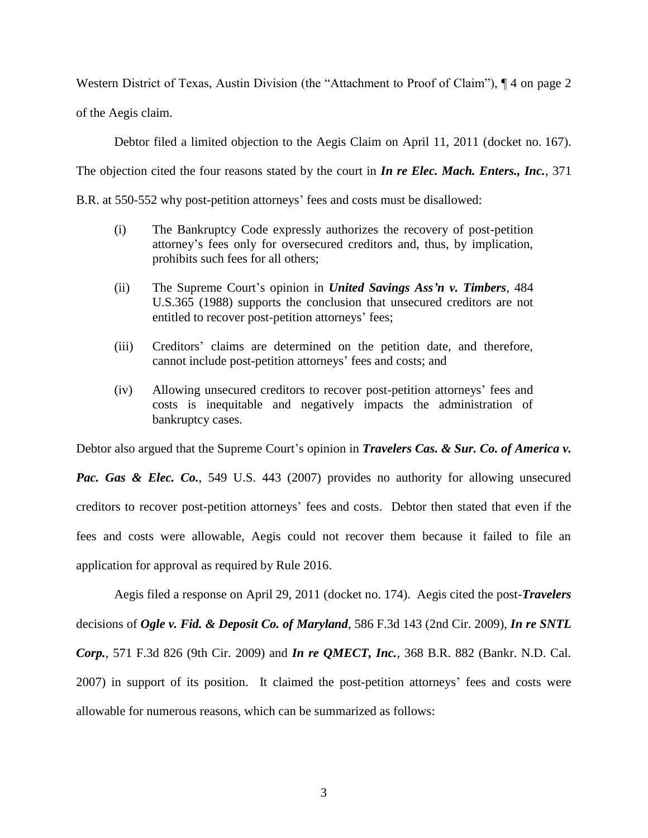Western District of Texas, Austin Division (the "Attachment to Proof of Claim"),  $\P$  4 on page 2

of the Aegis claim.

Debtor filed a limited objection to the Aegis Claim on April 11, 2011 (docket no. 167).

The objection cited the four reasons stated by the court in *In re Elec. Mach. Enters., Inc.*, 371

B.R. at 550-552 why post-petition attorneys' fees and costs must be disallowed:

- (i) The Bankruptcy Code expressly authorizes the recovery of post-petition attorney"s fees only for oversecured creditors and, thus, by implication, prohibits such fees for all others;
- (ii) The Supreme Court"s opinion in *United Savings Ass'n v. Timbers*, 484 U.S.365 (1988) supports the conclusion that unsecured creditors are not entitled to recover post-petition attorneys' fees;
- (iii) Creditors' claims are determined on the petition date, and therefore, cannot include post-petition attorneys" fees and costs; and
- (iv) Allowing unsecured creditors to recover post-petition attorneys" fees and costs is inequitable and negatively impacts the administration of bankruptcy cases.

Debtor also argued that the Supreme Court's opinion in *Travelers Cas. & Sur. Co. of America v.* 

*Pac. Gas & Elec. Co.*, 549 U.S. 443 (2007) provides no authority for allowing unsecured creditors to recover post-petition attorneys" fees and costs. Debtor then stated that even if the fees and costs were allowable, Aegis could not recover them because it failed to file an application for approval as required by Rule 2016.

Aegis filed a response on April 29, 2011 (docket no. 174). Aegis cited the post-*Travelers* decisions of *Ogle v. Fid. & Deposit Co. of Maryland*, 586 F.3d 143 (2nd Cir. 2009), *In re SNTL Corp.*, 571 F.3d 826 (9th Cir. 2009) and *In re QMECT, Inc.*, 368 B.R. 882 (Bankr. N.D. Cal. 2007) in support of its position. It claimed the post-petition attorneys" fees and costs were allowable for numerous reasons, which can be summarized as follows: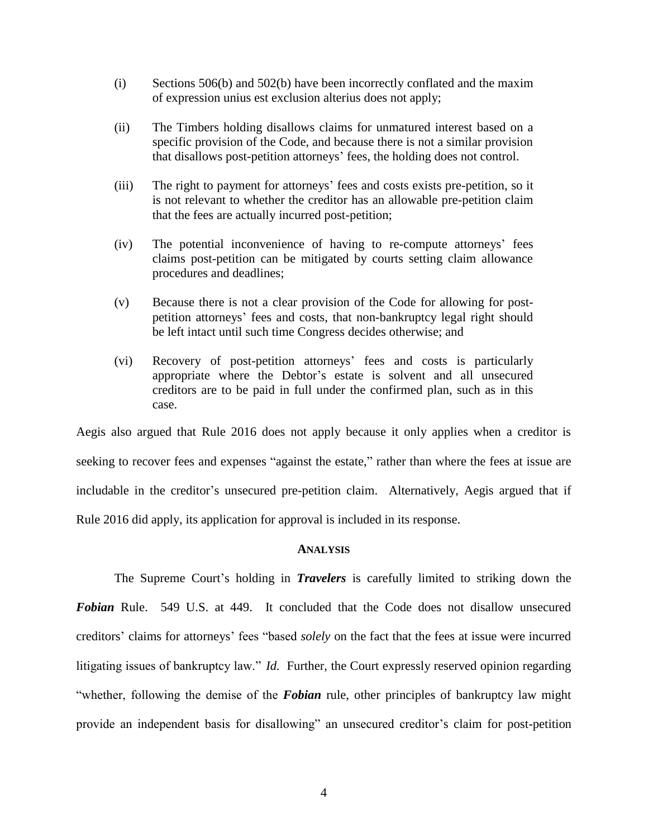- (i) Sections 506(b) and 502(b) have been incorrectly conflated and the maxim of expression unius est exclusion alterius does not apply;
- (ii) The Timbers holding disallows claims for unmatured interest based on a specific provision of the Code, and because there is not a similar provision that disallows post-petition attorneys" fees, the holding does not control.
- (iii) The right to payment for attorneys" fees and costs exists pre-petition, so it is not relevant to whether the creditor has an allowable pre-petition claim that the fees are actually incurred post-petition;
- (iv) The potential inconvenience of having to re-compute attorneys" fees claims post-petition can be mitigated by courts setting claim allowance procedures and deadlines;
- (v) Because there is not a clear provision of the Code for allowing for postpetition attorneys" fees and costs, that non-bankruptcy legal right should be left intact until such time Congress decides otherwise; and
- (vi) Recovery of post-petition attorneys" fees and costs is particularly appropriate where the Debtor"s estate is solvent and all unsecured creditors are to be paid in full under the confirmed plan, such as in this case.

Aegis also argued that Rule 2016 does not apply because it only applies when a creditor is seeking to recover fees and expenses "against the estate," rather than where the fees at issue are includable in the creditor's unsecured pre-petition claim. Alternatively, Aegis argued that if Rule 2016 did apply, its application for approval is included in its response.

## **ANALYSIS**

The Supreme Court's holding in *Travelers* is carefully limited to striking down the **Fobian** Rule. 549 U.S. at 449. It concluded that the Code does not disallow unsecured creditors" claims for attorneys" fees "based *solely* on the fact that the fees at issue were incurred litigating issues of bankruptcy law." *Id.* Further, the Court expressly reserved opinion regarding "whether, following the demise of the *Fobian* rule, other principles of bankruptcy law might provide an independent basis for disallowing" an unsecured creditor's claim for post-petition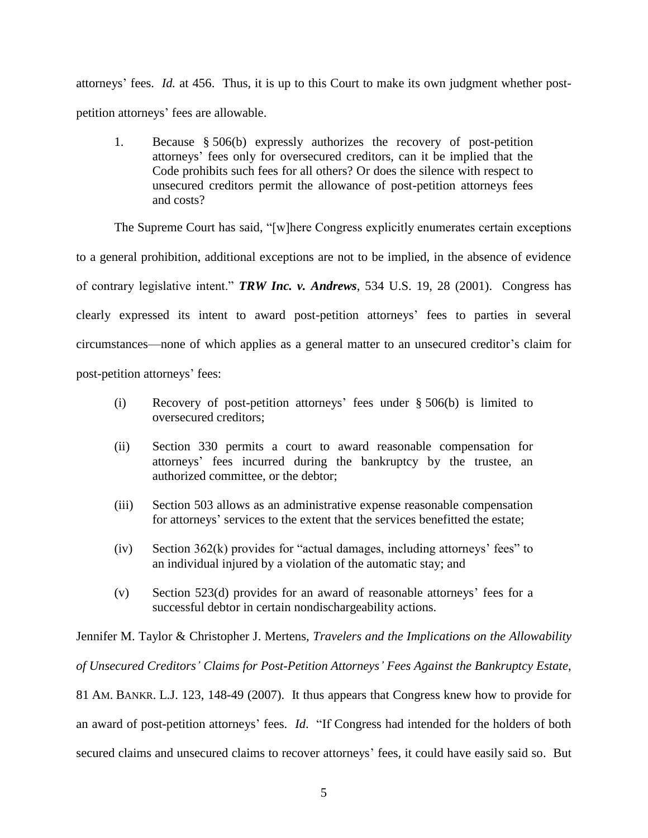attorneys" fees. *Id.* at 456. Thus, it is up to this Court to make its own judgment whether postpetition attorneys" fees are allowable.

1. Because § 506(b) expressly authorizes the recovery of post-petition attorneys" fees only for oversecured creditors, can it be implied that the Code prohibits such fees for all others? Or does the silence with respect to unsecured creditors permit the allowance of post-petition attorneys fees and costs?

The Supreme Court has said, "[w]here Congress explicitly enumerates certain exceptions

to a general prohibition, additional exceptions are not to be implied, in the absence of evidence

of contrary legislative intent." *TRW Inc. v. Andrews*, 534 U.S. 19, 28 (2001). Congress has clearly expressed its intent to award post-petition attorneys" fees to parties in several circumstances—none of which applies as a general matter to an unsecured creditor"s claim for

post-petition attorneys" fees:

- (i) Recovery of post-petition attorneys" fees under § [506\(b\)](https://1.next.westlaw.com/Link/Document/FullText?findType=L&pubNum=1000546&cite=11USCAS506&originatingDoc=I1b44da515fec11dca51ecfdfa1ed2cd3&refType=LQ&originationContext=document&transitionType=DocumentItem&contextData=(sc.Folder*cid.ccfb6f19df924f6b9582843068670142*oc.DocLink)) is limited to oversecured creditors;
- (ii) Section 330 permits a court to award reasonable compensation for attorneys" fees incurred during the bankruptcy by the trustee, an authorized committee, or the debtor;
- (iii) Section 503 allows as an administrative expense reasonable compensation for attorneys' services to the extent that the services benefitted the estate;
- (iv) Section  $362(k)$  provides for "actual damages, including attorneys" fees" to an individual injured by a violation of the automatic stay; and
- (v) Section 523(d) provides for an award of reasonable attorneys" fees for a successful debtor in certain nondischargeability actions.

Jennifer M. Taylor & Christopher J. Mertens, *Travelers and the Implications on the Allowability of Unsecured Creditors' Claims for Post-Petition Attorneys' Fees Against the Bankruptcy Estate*, 81 AM. BANKR. L.J. 123, 148-49 (2007). It thus appears that Congress knew how to provide for an award of post-petition attorneys" fees. *Id*. "If Congress had intended for the holders of both secured claims and unsecured claims to recover attorneys' fees, it could have easily said so. But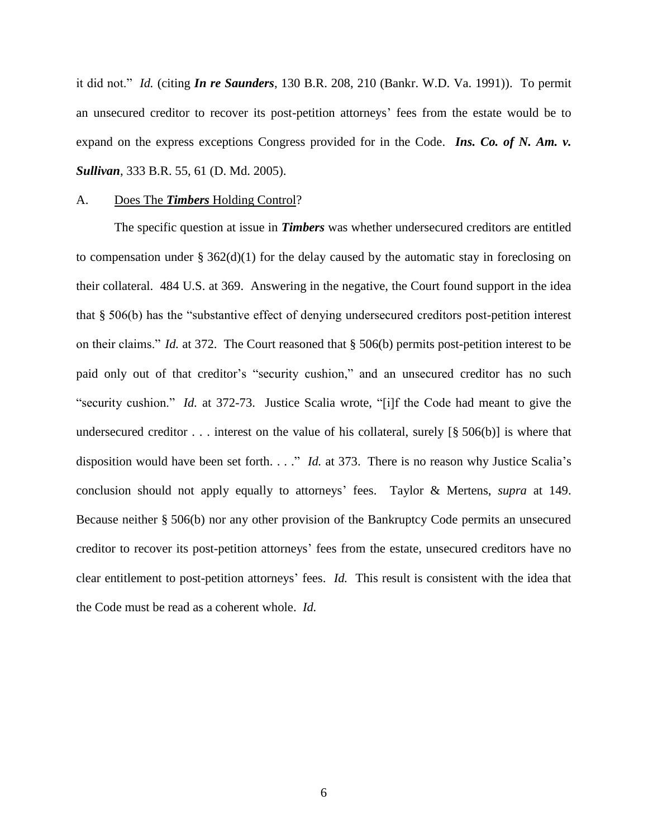it did not." *Id.* (citing *In re Saunders*, 130 B.R. 208, 210 (Bankr. W.D. Va. 1991)). To permit an unsecured creditor to recover its post-petition attorneys' fees from the estate would be to expand on the express exceptions Congress provided for in the Code. *Ins. Co. of N. Am. v. Sullivan*, 333 B.R. 55, 61 (D. Md. 2005).

#### A. Does The *Timbers* Holding Control?

The specific question at issue in *Timbers* was whether undersecured creditors are entitled to compensation under  $\S 362(d)(1)$  for the delay caused by the automatic stay in foreclosing on their collateral. 484 U.S. at 369. Answering in the negative, the Court found support in the idea that § 506(b) has the "substantive effect of denying undersecured creditors post-petition interest on their claims." *Id.* at 372. The Court reasoned that § 506(b) permits post-petition interest to be paid only out of that creditor's "security cushion," and an unsecured creditor has no such "security cushion." *Id.* at 372-73. Justice Scalia wrote, "[i]f the Code had meant to give the undersecured creditor  $\ldots$  interest on the value of his collateral, surely [§ 506(b)] is where that disposition would have been set forth. . . ." *Id.* at 373. There is no reason why Justice Scalia's conclusion should not apply equally to attorneys" fees. Taylor & Mertens, *supra* at 149. Because neither § [506\(b\)](https://1.next.westlaw.com/Link/Document/FullText?findType=L&pubNum=1000546&cite=11USCAS506&originatingDoc=I1b44da515fec11dca51ecfdfa1ed2cd3&refType=LQ&originationContext=document&transitionType=DocumentItem&contextData=(sc.Folder*cid.ccfb6f19df924f6b9582843068670142*oc.DocLink)) nor any other provision of the Bankruptcy Code permits an unsecured creditor to recover its post-petition attorneys" fees from the estate, unsecured creditors have no clear entitlement to post-petition attorneys" fees. *Id.* This result is consistent with the idea that the Code must be read as a coherent whole. *[Id.](https://1.next.westlaw.com/Document/I1b44da515fec11dca51ecfdfa1ed2cd3/View/FullText.html?listSource=Foldering&categoryId=Y1HlH39MmtoaVu6iVs8tvew2xK9N9O%60OCc5VFMF2S8m%7Cv7ckhe%600DqzRTHdSENnKEozWsv5Szl9i8AE1vQihOMVPRHJUOTIT&fcid=ccfb6f19df924f6b9582843068670142&originationContext=MyResearchDockDocuments&transitionType=FolderItem&contextData=(cid.ccfb6f19df924f6b9582843068670142*oc.DocLink)&VR=3.0&RS=cblt1.0&firstPage=true#co_footnote_F185333114886)*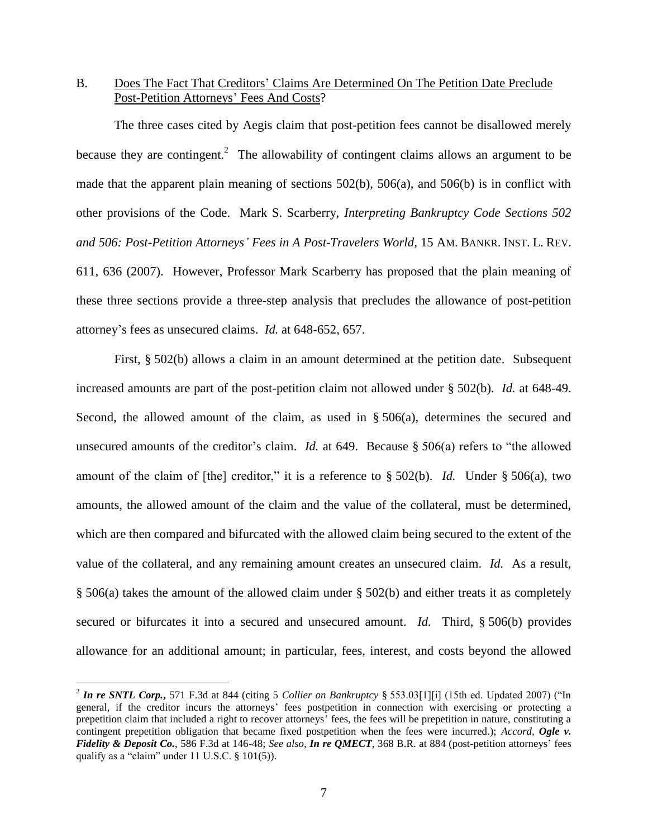# B. Does The Fact That Creditors" Claims Are Determined On The Petition Date Preclude Post-Petition Attorneys' Fees And Costs?

The three cases cited by Aegis claim that post-petition fees cannot be disallowed merely because they are contingent.<sup>2</sup> The allowability of contingent claims allows an argument to be made that the apparent plain meaning of sections 502(b), 506(a), and 506(b) is in conflict with other provisions of the Code. Mark S. Scarberry, *Interpreting Bankruptcy Code Sections 502 and 506: Post-Petition Attorneys' Fees in A Post-Travelers World*, 15 AM. BANKR. INST. L. REV. 611, 636 (2007). However, Professor Mark Scarberry has proposed that the plain meaning of these three sections provide a three-step analysis that precludes the allowance of post-petition attorney"s fees as unsecured claims. *Id.* at 648-652, 657.

First, § 502(b) allows a claim in an amount determined at the petition date. Subsequent increased amounts are part of the post-petition claim not allowed under § 502(b). *Id.* at 648-49. Second, the allowed amount of the claim, as used in § 506(a), determines the secured and unsecured amounts of the creditor"s claim. *Id.* at 649. Because § 506(a) refers to "the allowed amount of the claim of [the] creditor," it is a reference to § 502(b). *Id.* Under § 506(a), two amounts, the allowed amount of the claim and the value of the collateral, must be determined, which are then compared and bifurcated with the allowed claim being secured to the extent of the value of the collateral, and any remaining amount creates an unsecured claim. *Id.* As a result, § 506(a) takes the amount of the allowed claim under § 502(b) and either treats it as completely secured or bifurcates it into a secured and unsecured amount. *Id.* Third, § 506(b) provides allowance for an additional amount; in particular, fees, interest, and costs beyond the allowed

 $\overline{a}$ 

<sup>2</sup> *In re SNTL Corp.***,** 571 F.3d at 844 (citing 5 *Collier on Bankruptcy* § 553.03[1][i] (15th ed. Updated 2007) ("In general, if the creditor incurs the attorneys' fees postpetition in connection with exercising or protecting a prepetition claim that included a right to recover attorneys" fees, the fees will be prepetition in nature, constituting a contingent prepetition obligation that became fixed postpetition when the fees were incurred.); *Accord, Ogle v. Fidelity & Deposit Co.*, 586 F.3d at 146-48; *See also, In re QMECT*, 368 B.R. at 884 (post-petition attorneys" fees qualify as a "claim" under 11 U.S.C. § 101(5)).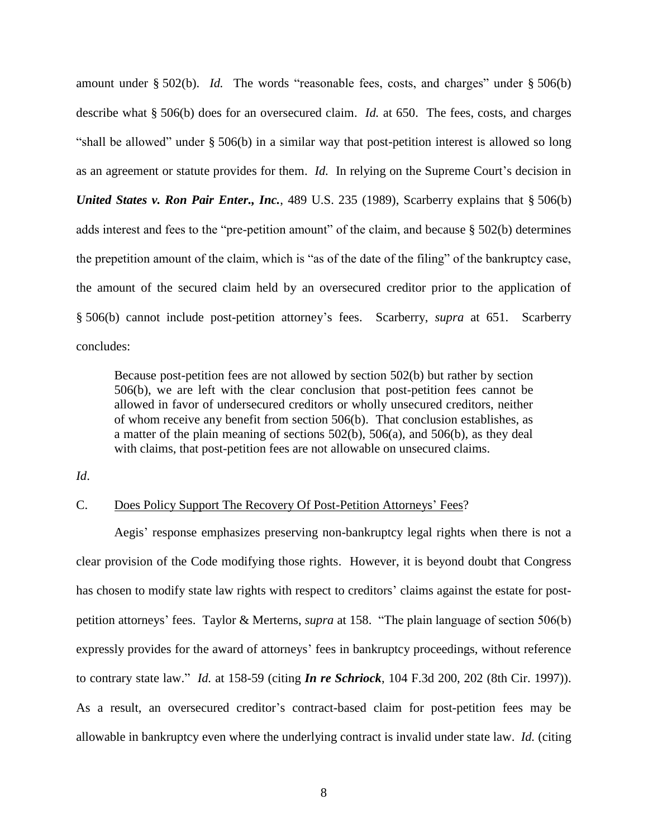amount under § 502(b). *Id.* The words "reasonable fees, costs, and charges" under § 506(b) describe what § 506(b) does for an oversecured claim. *Id.* at 650. The fees, costs, and charges "shall be allowed" under § 506(b) in a similar way that post-petition interest is allowed so long as an agreement or statute provides for them. *Id.* In relying on the Supreme Court's decision in *United States v. Ron Pair Enter., Inc., 489 U.S. 235 (1989), Scarberry explains that § 506(b)* adds interest and fees to the "pre-petition amount" of the claim, and because § 502(b) determines the prepetition amount of the claim, which is "as of the date of the filing" of the bankruptcy case, the amount of the secured claim held by an oversecured creditor prior to the application of § 506(b) cannot include post-petition attorney"s fees. Scarberry, *supra* at 651. Scarberry concludes:

Because post-petition fees are not allowed by section 502(b) but rather by section 506(b), we are left with the clear conclusion that post-petition fees cannot be allowed in favor of undersecured creditors or wholly unsecured creditors, neither of whom receive any benefit from section 506(b). That conclusion establishes, as a matter of the plain meaning of sections 502(b), 506(a), and 506(b), as they deal with claims, that post-petition fees are not allowable on unsecured claims.

*Id*.

### C. Does Policy Support The Recovery Of Post-Petition Attorneys" Fees?

Aegis" response emphasizes preserving non-bankruptcy legal rights when there is not a clear provision of the Code modifying those rights. However, it is beyond doubt that Congress has chosen to modify state law rights with respect to creditors' claims against the estate for postpetition attorneys" fees. Taylor & Merterns, *supra* at 158. "The plain language of section 506(b) expressly provides for the award of attorneys' fees in bankruptcy proceedings, without reference to contrary state law." *Id.* at 158-59 (citing *In re Schriock*, 104 F.3d 200, 202 (8th Cir. 1997)). As a result, an oversecured creditor's contract-based claim for post-petition fees may be allowable in bankruptcy even where the underlying contract is invalid under state law. *Id.* (citing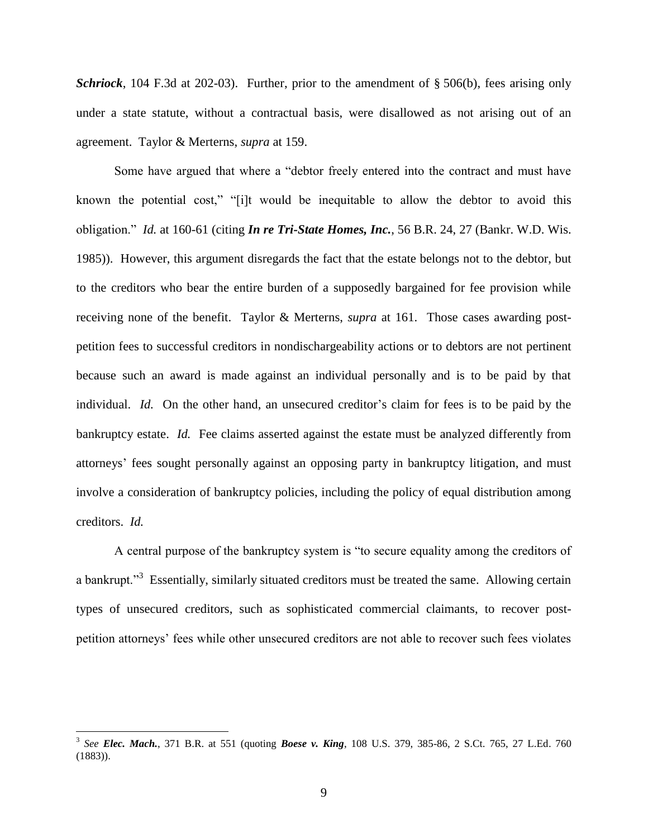**Schriock**, 104 F.3d at 202-03). Further, prior to the amendment of § 506(b), fees arising only under a state statute, without a contractual basis, were disallowed as not arising out of an agreement. Taylor & Merterns, *supra* at 159.

Some have argued that where a "debtor freely entered into the contract and must have known the potential cost," "[i]t would be inequitable to allow the debtor to avoid this obligation." *Id.* at 160-61 (citing *In re Tri-State Homes, Inc.*, 56 B.R. 24, 27 (Bankr. W.D. Wis. 1985)). However, this argument disregards the fact that the estate belongs not to the debtor, but to the creditors who bear the entire burden of a supposedly bargained for fee provision while receiving none of the benefit. Taylor & Merterns, *supra* at 161. Those cases awarding postpetition fees to successful creditors in nondischargeability actions or to debtors are not pertinent because such an award is made against an individual personally and is to be paid by that individual. *Id.* On the other hand, an unsecured creditor's claim for fees is to be paid by the bankruptcy estate. *Id.* Fee claims asserted against the estate must be analyzed differently from attorneys" fees sought personally against an opposing party in bankruptcy litigation, and must involve a consideration of bankruptcy policies, including the policy of equal distribution among creditors. *Id.* 

A central purpose of the bankruptcy system is "to secure equality among the creditors of a bankrupt."<sup>3</sup> Essentially, similarly situated creditors must be treated the same. Allowing certain types of unsecured creditors, such as sophisticated commercial claimants, to recover postpetition attorneys' fees while other unsecured creditors are not able to recover such fees violates

 $\overline{a}$ 

<sup>3</sup> *See Elec. Mach.*, 371 B.R. at 551 (quoting *Boese v. King*, 108 U.S. 379, 385-86, 2 S.Ct. 765, 27 L.Ed. 760 (1883)).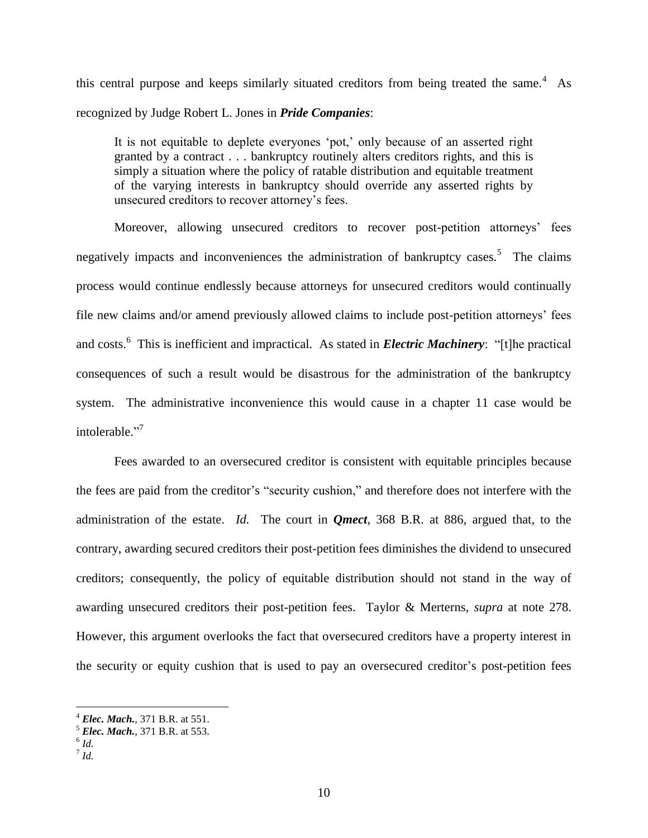this central purpose and keeps similarly situated creditors from being treated the same. $4$  As recognized by Judge Robert L. Jones in *Pride Companies*:

It is not equitable to deplete everyones 'pot,' only because of an asserted right granted by a contract . . . bankruptcy routinely alters creditors rights, and this is simply a situation where the policy of ratable distribution and equitable treatment of the varying interests in bankruptcy should override any asserted rights by unsecured creditors to recover attorney"s fees.

Moreover, allowing unsecured creditors to recover post-petition attorneys' fees negatively impacts and inconveniences the administration of bankruptcy cases.<sup>5</sup> The claims process would continue endlessly because attorneys for unsecured creditors would continually file new claims and/or amend previously allowed claims to include post-petition attorneys" fees and costs.<sup>6</sup> This is inefficient and impractical. As stated in *Electric Machinery*: "[t]he practical consequences of such a result would be disastrous for the administration of the bankruptcy system. The administrative inconvenience this would cause in a chapter 11 case would be intolerable." 7

Fees awarded to an oversecured creditor is consistent with equitable principles because the fees are paid from the creditor"s "security cushion," and therefore does not interfere with the administration of the estate. *Id.* The court in *Qmect*, 368 B.R. at 886, argued that, to the contrary, awarding secured creditors their post-petition fees diminishes the dividend to unsecured creditors; consequently, the policy of equitable distribution should not stand in the way of awarding unsecured creditors their post-petition fees. Taylor & Merterns, *supra* at note 278. However, this argument overlooks the fact that oversecured creditors have a property interest in the security or equity cushion that is used to pay an oversecured creditor's post-petition fees

 $\overline{a}$ 

<sup>4</sup> *Elec. Mach.*, 371 B.R. at 551.

<sup>5</sup> *Elec. Mach.*, 371 B.R. at 553.

<sup>6</sup> *Id.*

<sup>7</sup> *Id.*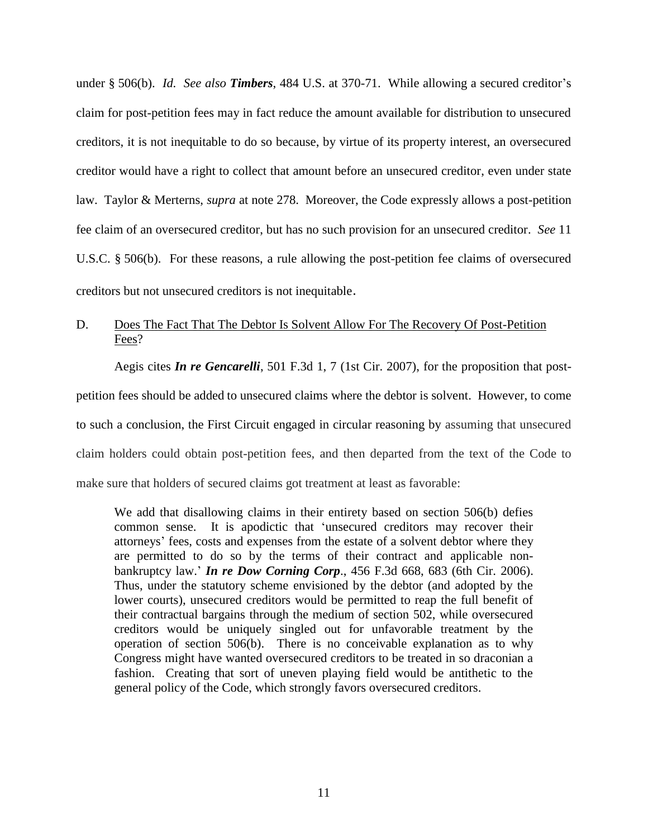under § [506\(b\).](https://a.next.westlaw.com/Link/Document/FullText?findType=L&pubNum=1000546&cite=11USCAS506&originatingDoc=I1b44da515fec11dca51ecfdfa1ed2cd3&refType=LQ&originationContext=document&transitionType=DocumentItem&contextData=(sc.History*oc.DocLink)) *Id. See also Timbers*[, 484 U.S. at 370-71.](https://a.next.westlaw.com/Link/Document/FullText?findType=Y&serNum=1988010767&pubNum=780&originationContext=document&transitionType=DocumentItem&contextData=(sc.History*oc.DocLink)#co_pp_sp_780_370) While allowing a secured creditor"s claim for post-petition fees may in fact reduce the amount available for distribution to unsecured creditors, it is not inequitable to do so because, by virtue of its property interest, an oversecured creditor would have a right to collect that amount before an unsecured creditor, even under state law. Taylor & Merterns, *supra* at note 278. Moreover, the Code expressly allows a post-petition fee claim of an oversecured creditor, but has no such provision for an unsecured creditor. *See* [11](https://a.next.westlaw.com/Link/Document/FullText?findType=L&pubNum=1000546&cite=11USCAS506&originatingDoc=I1b44da515fec11dca51ecfdfa1ed2cd3&refType=LQ&originationContext=document&transitionType=DocumentItem&contextData=(sc.History*oc.DocLink))  [U.S.C. §](https://a.next.westlaw.com/Link/Document/FullText?findType=L&pubNum=1000546&cite=11USCAS506&originatingDoc=I1b44da515fec11dca51ecfdfa1ed2cd3&refType=LQ&originationContext=document&transitionType=DocumentItem&contextData=(sc.History*oc.DocLink)) 506(b). For these reasons, a rule allowing the post-petition fee claims of oversecured creditors but not unsecured creditors is not inequitable.

# D. Does The Fact That The Debtor Is Solvent Allow For The Recovery Of Post-Petition Fees?

Aegis cites *In re Gencarelli*, 501 F.3d 1, 7 (1st Cir. 2007), for the proposition that postpetition fees should be added to unsecured claims where the debtor is solvent. However, to come to such a conclusion, the First Circuit engaged in circular reasoning by assuming that unsecured claim holders could obtain post-petition fees, and then departed from the text of the Code to make sure that holders of secured claims got treatment at least as favorable:

We add that disallowing claims in their entirety based on section 506(b) defies common sense. It is apodictic that "unsecured creditors may recover their attorneys" fees, costs and expenses from the estate of a solvent debtor where they are permitted to do so by the terms of their contract and applicable nonbankruptcy law." *In re Dow Corning Corp*., 456 F.3d 668, 683 (6th Cir. 2006). Thus, under the statutory scheme envisioned by the debtor (and adopted by the lower courts), unsecured creditors would be permitted to reap the full benefit of their contractual bargains through the medium of section 502, while oversecured creditors would be uniquely singled out for unfavorable treatment by the operation of section  $506(b)$ . There is no conceivable explanation as to why Congress might have wanted oversecured creditors to be treated in so draconian a fashion. Creating that sort of uneven playing field would be antithetic to the general policy of the Code, which strongly favors oversecured creditors.